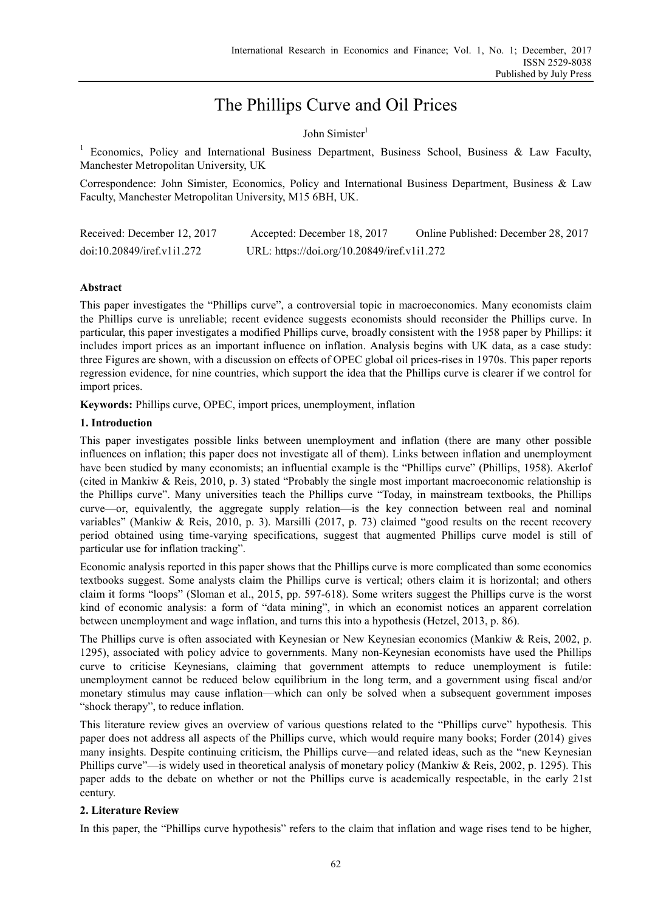# The Phillips Curve and Oil Prices

## John Simister<sup>1</sup>

<sup>1</sup> Economics, Policy and International Business Department, Business School, Business & Law Faculty, Manchester Metropolitan University, UK

Correspondence: John Simister, Economics, Policy and International Business Department, Business & Law Faculty, Manchester Metropolitan University, M15 6BH, UK.

| Received: December 12, 2017 | Accepted: December 18, 2017                 | Online Published: December 28, 2017 |
|-----------------------------|---------------------------------------------|-------------------------------------|
| doi:10.20849/iref.v1i1.272  | URL: https://doi.org/10.20849/iref.v1i1.272 |                                     |

## **Abstract**

This paper investigates the "Phillips curve", a controversial topic in macroeconomics. Many economists claim the Phillips curve is unreliable; recent evidence suggests economists should reconsider the Phillips curve. In particular, this paper investigates a modified Phillips curve, broadly consistent with the 1958 paper by Phillips: it includes import prices as an important influence on inflation. Analysis begins with UK data, as a case study: three Figures are shown, with a discussion on effects of OPEC global oil prices-rises in 1970s. This paper reports regression evidence, for nine countries, which support the idea that the Phillips curve is clearer if we control for import prices.

**Keywords:** Phillips curve, OPEC, import prices, unemployment, inflation

## **1. Introduction**

This paper investigates possible links between unemployment and inflation (there are many other possible influences on inflation; this paper does not investigate all of them). Links between inflation and unemployment have been studied by many economists; an influential example is the "Phillips curve" (Phillips, 1958). Akerlof (cited in Mankiw & Reis, 2010, p. 3) stated "Probably the single most important macroeconomic relationship is the Phillips curve". Many universities teach the Phillips curve "Today, in mainstream textbooks, the Phillips curve—or, equivalently, the aggregate supply relation—is the key connection between real and nominal variables" (Mankiw & Reis, 2010, p. 3). Marsilli (2017, p. 73) claimed "good results on the recent recovery period obtained using time-varying specifications, suggest that augmented Phillips curve model is still of particular use for inflation tracking".

Economic analysis reported in this paper shows that the Phillips curve is more complicated than some economics textbooks suggest. Some analysts claim the Phillips curve is vertical; others claim it is horizontal; and others claim it forms "loops" (Sloman et al., 2015, pp. 597-618). Some writers suggest the Phillips curve is the worst kind of economic analysis: a form of "data mining", in which an economist notices an apparent correlation between unemployment and wage inflation, and turns this into a hypothesis (Hetzel, 2013, p. 86).

The Phillips curve is often associated with Keynesian or New Keynesian economics (Mankiw & Reis, 2002, p. 1295), associated with policy advice to governments. Many non-Keynesian economists have used the Phillips curve to criticise Keynesians, claiming that government attempts to reduce unemployment is futile: unemployment cannot be reduced below equilibrium in the long term, and a government using fiscal and/or monetary stimulus may cause inflation—which can only be solved when a subsequent government imposes "shock therapy", to reduce inflation.

This literature review gives an overview of various questions related to the "Phillips curve" hypothesis. This paper does not address all aspects of the Phillips curve, which would require many books; Forder (2014) gives many insights. Despite continuing criticism, the Phillips curve—and related ideas, such as the "new Keynesian Phillips curve"—is widely used in theoretical analysis of monetary policy (Mankiw & Reis, 2002, p. 1295). This paper adds to the debate on whether or not the Phillips curve is academically respectable, in the early 21st century.

# **2. Literature Review**

In this paper, the "Phillips curve hypothesis" refers to the claim that inflation and wage rises tend to be higher,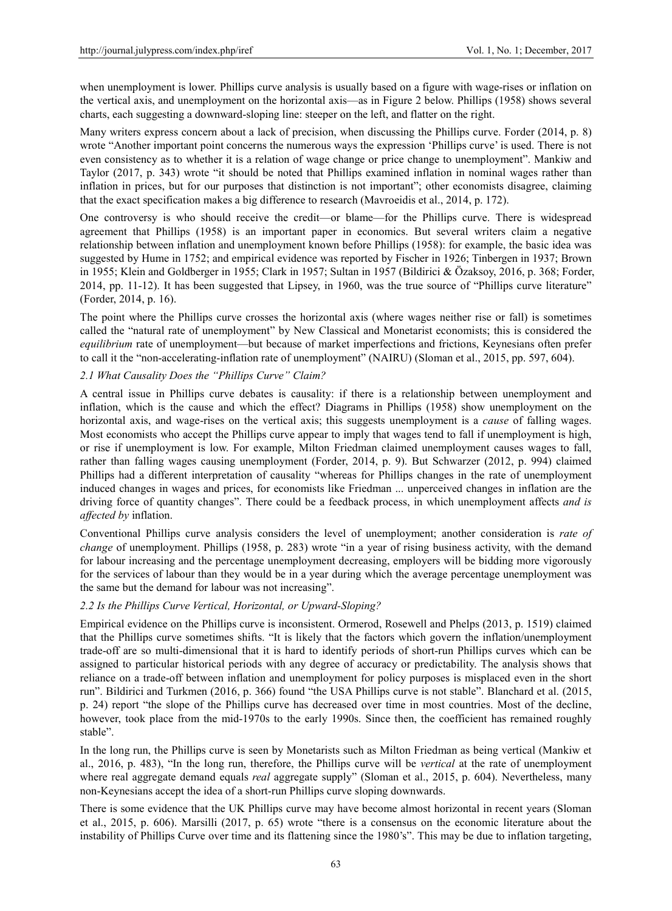when unemployment is lower. Phillips curve analysis is usually based on a figure with wage-rises or inflation on the vertical axis, and unemployment on the horizontal axis—as in Figure 2 below. Phillips (1958) shows several charts, each suggesting a downward-sloping line: steeper on the left, and flatter on the right.

Many writers express concern about a lack of precision, when discussing the Phillips curve. Forder (2014, p. 8) wrote "Another important point concerns the numerous ways the expression 'Phillips curve' is used. There is not even consistency as to whether it is a relation of wage change or price change to unemployment". Mankiw and Taylor (2017, p. 343) wrote "it should be noted that Phillips examined inflation in nominal wages rather than inflation in prices, but for our purposes that distinction is not important"; other economists disagree, claiming that the exact specification makes a big difference to research (Mavroeidis et al., 2014, p. 172).

One controversy is who should receive the credit—or blame—for the Phillips curve. There is widespread agreement that Phillips (1958) is an important paper in economics. But several writers claim a negative relationship between inflation and unemployment known before Phillips (1958): for example, the basic idea was suggested by Hume in 1752; and empirical evidence was reported by Fischer in 1926; Tinbergen in 1937; Brown in 1955; Klein and Goldberger in 1955; Clark in 1957; Sultan in 1957 (Bildirici & Özaksoy, 2016, p. 368; Forder, 2014, pp. 11-12). It has been suggested that Lipsey, in 1960, was the true source of "Phillips curve literature" (Forder, 2014, p. 16).

The point where the Phillips curve crosses the horizontal axis (where wages neither rise or fall) is sometimes called the "natural rate of unemployment" by New Classical and Monetarist economists; this is considered the *equilibrium* rate of unemployment—but because of market imperfections and frictions, Keynesians often prefer to call it the "non-accelerating-inflation rate of unemployment" (NAIRU) (Sloman et al., 2015, pp. 597, 604).

## *2.1 What Causality Does the "Phillips Curve" Claim?*

A central issue in Phillips curve debates is causality: if there is a relationship between unemployment and inflation, which is the cause and which the effect? Diagrams in Phillips (1958) show unemployment on the horizontal axis, and wage-rises on the vertical axis; this suggests unemployment is a *cause* of falling wages. Most economists who accept the Phillips curve appear to imply that wages tend to fall if unemployment is high, or rise if unemployment is low. For example, Milton Friedman claimed unemployment causes wages to fall, rather than falling wages causing unemployment (Forder, 2014, p. 9). But Schwarzer (2012, p. 994) claimed Phillips had a different interpretation of causality "whereas for Phillips changes in the rate of unemployment induced changes in wages and prices, for economists like Friedman ... unperceived changes in inflation are the driving force of quantity changes". There could be a feedback process, in which unemployment affects *and is affected by* inflation.

Conventional Phillips curve analysis considers the level of unemployment; another consideration is *rate of change* of unemployment. Phillips (1958, p. 283) wrote "in a year of rising business activity, with the demand for labour increasing and the percentage unemployment decreasing, employers will be bidding more vigorously for the services of labour than they would be in a year during which the average percentage unemployment was the same but the demand for labour was not increasing".

## *2.2 Is the Phillips Curve Vertical, Horizontal, or Upward-Sloping?*

Empirical evidence on the Phillips curve is inconsistent. Ormerod, Rosewell and Phelps (2013, p. 1519) claimed that the Phillips curve sometimes shifts. "It is likely that the factors which govern the inflation/unemployment trade-off are so multi-dimensional that it is hard to identify periods of short-run Phillips curves which can be assigned to particular historical periods with any degree of accuracy or predictability. The analysis shows that reliance on a trade-off between inflation and unemployment for policy purposes is misplaced even in the short run". Bildirici and Turkmen (2016, p. 366) found "the USA Phillips curve is not stable". Blanchard et al. (2015, p. 24) report "the slope of the Phillips curve has decreased over time in most countries. Most of the decline, however, took place from the mid-1970s to the early 1990s. Since then, the coefficient has remained roughly stable".

In the long run, the Phillips curve is seen by Monetarists such as Milton Friedman as being vertical (Mankiw et al., 2016, p. 483), "In the long run, therefore, the Phillips curve will be *vertical* at the rate of unemployment where real aggregate demand equals *real* aggregate supply" (Sloman et al., 2015, p. 604). Nevertheless, many non-Keynesians accept the idea of a short-run Phillips curve sloping downwards.

There is some evidence that the UK Phillips curve may have become almost horizontal in recent years (Sloman et al., 2015, p. 606). Marsilli (2017, p. 65) wrote "there is a consensus on the economic literature about the instability of Phillips Curve over time and its flattening since the 1980's". This may be due to inflation targeting,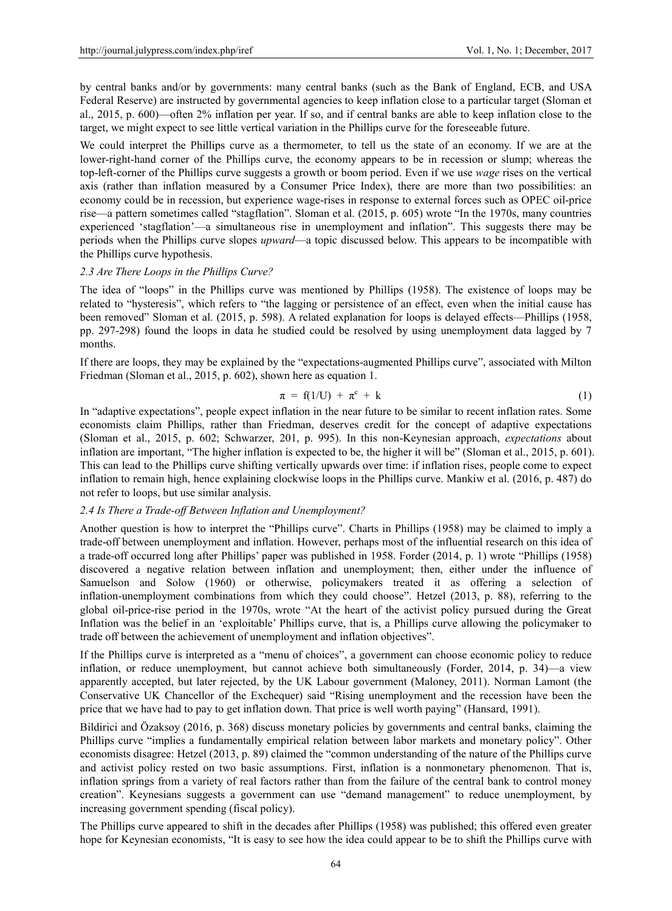by central banks and/or by governments: many central banks (such as the Bank of England, ECB, and USA Federal Reserve) are instructed by governmental agencies to keep inflation close to a particular target (Sloman et al., 2015, p. 600)—often 2% inflation per year. If so, and if central banks are able to keep inflation close to the target, we might expect to see little vertical variation in the Phillips curve for the foreseeable future.

We could interpret the Phillips curve as a thermometer, to tell us the state of an economy. If we are at the lower-right-hand corner of the Phillips curve, the economy appears to be in recession or slump; whereas the top-left-corner of the Phillips curve suggests a growth or boom period. Even if we use *wage* rises on the vertical axis (rather than inflation measured by a Consumer Price Index), there are more than two possibilities: an economy could be in recession, but experience wage-rises in response to external forces such as OPEC oil-price rise—a pattern sometimes called "stagflation". Sloman et al. (2015, p. 605) wrote "In the 1970s, many countries experienced 'stagflation'—a simultaneous rise in unemployment and inflation". This suggests there may be periods when the Phillips curve slopes *upward*—a topic discussed below. This appears to be incompatible with the Phillips curve hypothesis.

#### *2.3 Are There Loops in the Phillips Curve?*

The idea of "loops" in the Phillips curve was mentioned by Phillips (1958). The existence of loops may be related to "hysteresis", which refers to "the lagging or persistence of an effect, even when the initial cause has been removed" Sloman et al. (2015, p. 598). A related explanation for loops is delayed effects—Phillips (1958, pp. 297-298) found the loops in data he studied could be resolved by using unemployment data lagged by 7 months.

If there are loops, they may be explained by the "expectations-augmented Phillips curve", associated with Milton Friedman (Sloman et al., 2015, p. 602), shown here as equation 1.

$$
\pi = f(1/U) + \pi^c + k \tag{1}
$$

In "adaptive expectations", people expect inflation in the near future to be similar to recent inflation rates. Some economists claim Phillips, rather than Friedman, deserves credit for the concept of adaptive expectations (Sloman et al., 2015, p. 602; Schwarzer, 201, p. 995). In this non-Keynesian approach, *expectations* about inflation are important, "The higher inflation is expected to be, the higher it will be" (Sloman et al., 2015, p. 601). This can lead to the Phillips curve shifting vertically upwards over time: if inflation rises, people come to expect inflation to remain high, hence explaining clockwise loops in the Phillips curve. Mankiw et al. (2016, p. 487) do not refer to loops, but use similar analysis.

#### *2.4 Is There a Trade-off Between Inflation and Unemployment?*

Another question is how to interpret the "Phillips curve". Charts in Phillips (1958) may be claimed to imply a trade-off between unemployment and inflation. However, perhaps most of the influential research on this idea of a trade-off occurred long after Phillips' paper was published in 1958. Forder (2014, p. 1) wrote "Phillips (1958) discovered a negative relation between inflation and unemployment; then, either under the influence of Samuelson and Solow (1960) or otherwise, policymakers treated it as offering a selection of inflation-unemployment combinations from which they could choose". Hetzel (2013, p. 88), referring to the global oil-price-rise period in the 1970s, wrote "At the heart of the activist policy pursued during the Great Inflation was the belief in an 'exploitable' Phillips curve, that is, a Phillips curve allowing the policymaker to trade off between the achievement of unemployment and inflation objectives".

If the Phillips curve is interpreted as a "menu of choices", a government can choose economic policy to reduce inflation, or reduce unemployment, but cannot achieve both simultaneously (Forder, 2014, p. 34)—a view apparently accepted, but later rejected, by the UK Labour government (Maloney, 2011). Norman Lamont (the Conservative UK Chancellor of the Exchequer) said "Rising unemployment and the recession have been the price that we have had to pay to get inflation down. That price is well worth paying" (Hansard, 1991).

Bildirici and Özaksoy (2016, p. 368) discuss monetary policies by governments and central banks, claiming the Phillips curve "implies a fundamentally empirical relation between labor markets and monetary policy". Other economists disagree: Hetzel (2013, p. 89) claimed the "common understanding of the nature of the Phillips curve and activist policy rested on two basic assumptions. First, inflation is a nonmonetary phenomenon. That is, inflation springs from a variety of real factors rather than from the failure of the central bank to control money creation". Keynesians suggests a government can use "demand management" to reduce unemployment, by increasing government spending (fiscal policy).

The Phillips curve appeared to shift in the decades after Phillips (1958) was published; this offered even greater hope for Keynesian economists, "It is easy to see how the idea could appear to be to shift the Phillips curve with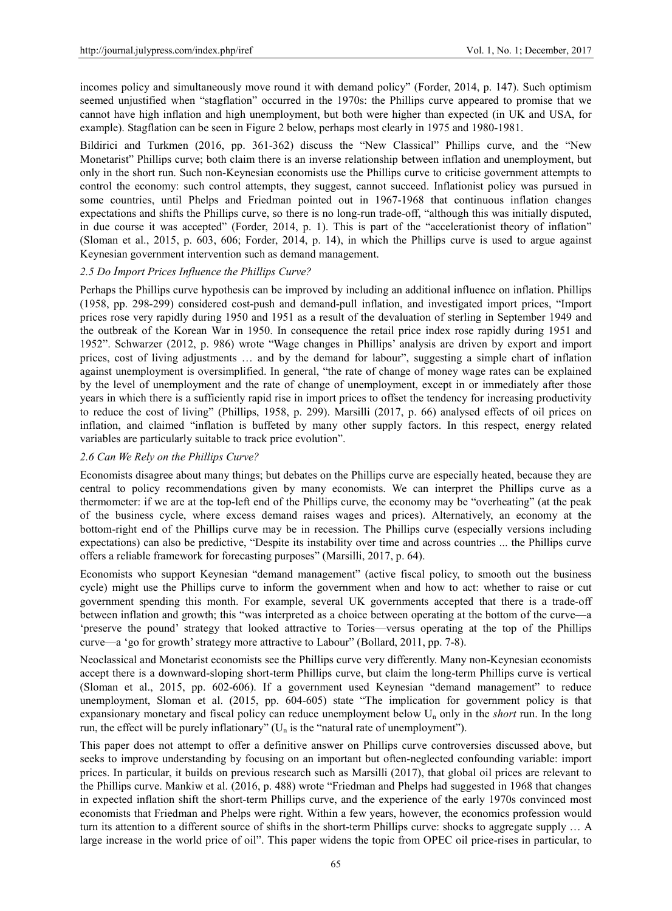incomes policy and simultaneously move round it with demand policy" (Forder, 2014, p. 147). Such optimism seemed unjustified when "stagflation" occurred in the 1970s: the Phillips curve appeared to promise that we cannot have high inflation and high unemployment, but both were higher than expected (in UK and USA, for example). Stagflation can be seen in Figure 2 below, perhaps most clearly in 1975 and 1980-1981.

Bildirici and Turkmen (2016, pp. 361-362) discuss the "New Classical" Phillips curve, and the "New Monetarist" Phillips curve; both claim there is an inverse relationship between inflation and unemployment, but only in the short run. Such non-Keynesian economists use the Phillips curve to criticise government attempts to control the economy: such control attempts, they suggest, cannot succeed. Inflationist policy was pursued in some countries, until Phelps and Friedman pointed out in 1967-1968 that continuous inflation changes expectations and shifts the Phillips curve, so there is no long-run trade-off, "although this was initially disputed, in due course it was accepted" (Forder, 2014, p. 1). This is part of the "accelerationist theory of inflation" (Sloman et al., 2015, p. 603, 606; Forder, 2014, p. 14), in which the Phillips curve is used to argue against Keynesian government intervention such as demand management.

## *2.5 Do Import Prices Influence the Phillips Curve?*

Perhaps the Phillips curve hypothesis can be improved by including an additional influence on inflation. Phillips (1958, pp. 298-299) considered cost-push and demand-pull inflation, and investigated import prices, "Import prices rose very rapidly during 1950 and 1951 as a result of the devaluation of sterling in September 1949 and the outbreak of the Korean War in 1950. In consequence the retail price index rose rapidly during 1951 and 1952". Schwarzer (2012, p. 986) wrote "Wage changes in Phillips' analysis are driven by export and import prices, cost of living adjustments … and by the demand for labour", suggesting a simple chart of inflation against unemployment is oversimplified. In general, "the rate of change of money wage rates can be explained by the level of unemployment and the rate of change of unemployment, except in or immediately after those years in which there is a sufficiently rapid rise in import prices to offset the tendency for increasing productivity to reduce the cost of living" (Phillips, 1958, p. 299). Marsilli (2017, p. 66) analysed effects of oil prices on inflation, and claimed "inflation is buffeted by many other supply factors. In this respect, energy related variables are particularly suitable to track price evolution".

## *2.6 Can We Rely on the Phillips Curve?*

Economists disagree about many things; but debates on the Phillips curve are especially heated, because they are central to policy recommendations given by many economists. We can interpret the Phillips curve as a thermometer: if we are at the top-left end of the Phillips curve, the economy may be "overheating" (at the peak of the business cycle, where excess demand raises wages and prices). Alternatively, an economy at the bottom-right end of the Phillips curve may be in recession. The Phillips curve (especially versions including expectations) can also be predictive, "Despite its instability over time and across countries ... the Phillips curve offers a reliable framework for forecasting purposes" (Marsilli, 2017, p. 64).

Economists who support Keynesian "demand management" (active fiscal policy, to smooth out the business cycle) might use the Phillips curve to inform the government when and how to act: whether to raise or cut government spending this month. For example, several UK governments accepted that there is a trade-off between inflation and growth; this "was interpreted as a choice between operating at the bottom of the curve—a 'preserve the pound' strategy that looked attractive to Tories—versus operating at the top of the Phillips curve—a 'go for growth'strategy more attractive to Labour" (Bollard, 2011, pp. 7-8).

Neoclassical and Monetarist economists see the Phillips curve very differently. Many non-Keynesian economists accept there is a downward-sloping short-term Phillips curve, but claim the long-term Phillips curve is vertical (Sloman et al., 2015, pp. 602-606). If a government used Keynesian "demand management" to reduce unemployment, Sloman et al. (2015, pp. 604-605) state "The implication for government policy is that expansionary monetary and fiscal policy can reduce unemployment below Un only in the *short* run. In the long run, the effect will be purely inflationary" ( $U_n$  is the "natural rate of unemployment").

This paper does not attempt to offer a definitive answer on Phillips curve controversies discussed above, but seeks to improve understanding by focusing on an important but often-neglected confounding variable: import prices. In particular, it builds on previous research such as Marsilli (2017), that global oil prices are relevant to the Phillips curve. Mankiw et al. (2016, p. 488) wrote "Friedman and Phelps had suggested in 1968 that changes in expected inflation shift the short-term Phillips curve, and the experience of the early 1970s convinced most economists that Friedman and Phelps were right. Within a few years, however, the economics profession would turn its attention to a different source of shifts in the short-term Phillips curve: shocks to aggregate supply … A large increase in the world price of oil". This paper widens the topic from OPEC oil price-rises in particular, to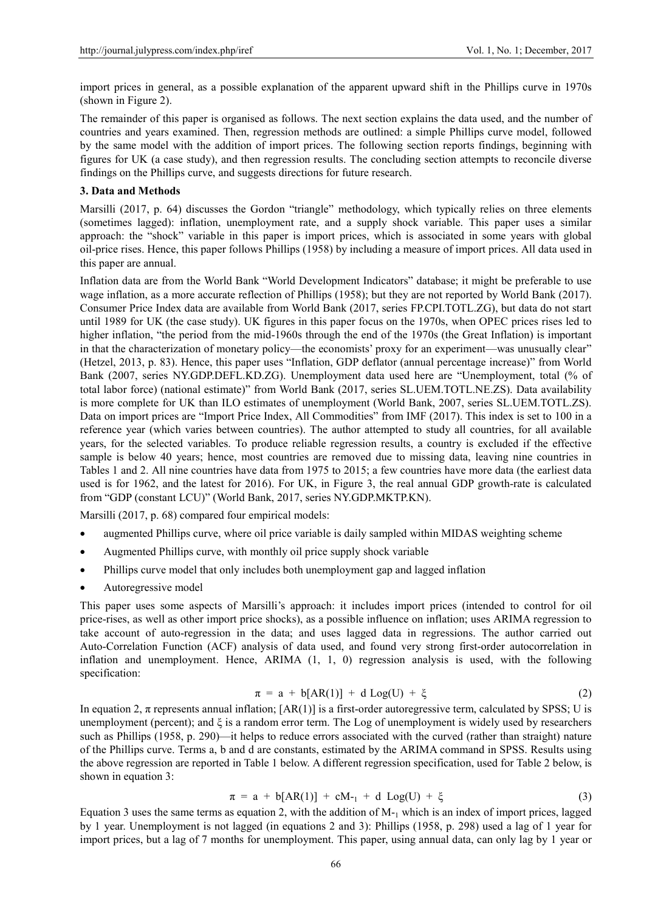import prices in general, as a possible explanation of the apparent upward shift in the Phillips curve in 1970s (shown in Figure 2).

The remainder of this paper is organised as follows. The next section explains the data used, and the number of countries and years examined. Then, regression methods are outlined: a simple Phillips curve model, followed by the same model with the addition of import prices. The following section reports findings, beginning with figures for UK (a case study), and then regression results. The concluding section attempts to reconcile diverse findings on the Phillips curve, and suggests directions for future research.

#### **3. Data and Methods**

Marsilli (2017, p. 64) discusses the Gordon "triangle" methodology, which typically relies on three elements (sometimes lagged): inflation, unemployment rate, and a supply shock variable. This paper uses a similar approach: the "shock" variable in this paper is import prices, which is associated in some years with global oil-price rises. Hence, this paper follows Phillips (1958) by including a measure of import prices. All data used in this paper are annual.

Inflation data are from the World Bank "World Development Indicators" database; it might be preferable to use wage inflation, as a more accurate reflection of Phillips (1958); but they are not reported by World Bank (2017). Consumer Price Index data are available from World Bank (2017, series FP.CPI.TOTL.ZG), but data do not start until 1989 for UK (the case study). UK figures in this paper focus on the 1970s, when OPEC prices rises led to higher inflation, "the period from the mid-1960s through the end of the 1970s (the Great Inflation) is important in that the characterization of monetary policy—the economists' proxy for an experiment—was unusually clear" (Hetzel, 2013, p. 83). Hence, this paper uses "Inflation, GDP deflator (annual percentage increase)" from World Bank (2007, series NY.GDP.DEFL.KD.ZG). Unemployment data used here are "Unemployment, total (% of total labor force) (national estimate)" from World Bank (2017, series SL.UEM.TOTL.NE.ZS). Data availability is more complete for UK than ILO estimates of unemployment (World Bank, 2007, series SL.UEM.TOTL.ZS). Data on import prices are "Import Price Index, All Commodities" from IMF (2017). This index is set to 100 in a reference year (which varies between countries). The author attempted to study all countries, for all available years, for the selected variables. To produce reliable regression results, a country is excluded if the effective sample is below 40 years; hence, most countries are removed due to missing data, leaving nine countries in Tables 1 and 2. All nine countries have data from 1975 to 2015; a few countries have more data (the earliest data used is for 1962, and the latest for 2016). For UK, in Figure 3, the real annual GDP growth-rate is calculated from "GDP (constant LCU)" (World Bank, 2017, series NY.GDP.MKTP.KN).

Marsilli (2017, p. 68) compared four empirical models:

- augmented Phillips curve, where oil price variable is daily sampled within MIDAS weighting scheme
- Augmented Phillips curve, with monthly oil price supply shock variable
- Phillips curve model that only includes both unemployment gap and lagged inflation
- Autoregressive model

This paper uses some aspects of Marsilli's approach: it includes import prices (intended to control for oil price-rises, as well as other import price shocks), as a possible influence on inflation; uses ARIMA regression to take account of auto-regression in the data; and uses lagged data in regressions. The author carried out Auto-Correlation Function (ACF) analysis of data used, and found very strong first-order autocorrelation in inflation and unemployment. Hence, ARIMA  $(1, 1, 0)$  regression analysis is used, with the following specification:

$$
\pi = a + b[AR(1)] + d Log(U) + \xi \tag{2}
$$

In equation 2,  $\pi$  represents annual inflation;  $[AR(1)]$  is a first-order autoregressive term, calculated by SPSS; U is unemployment (percent); and  $\xi$  is a random error term. The Log of unemployment is widely used by researchers such as Phillips (1958, p. 290)—it helps to reduce errors associated with the curved (rather than straight) nature of the Phillips curve. Terms a, b and d are constants, estimated by the ARIMA command in SPSS. Results using the above regression are reported in Table 1 below. A different regression specification, used for Table 2 below, is shown in equation 3:

$$
\pi = a + b[AR(1)] + cM_{-1} + d Log(U) + \xi \tag{3}
$$

Equation 3 uses the same terms as equation 2, with the addition of  $M_{-1}$  which is an index of import prices, lagged by 1 year. Unemployment is not lagged (in equations 2 and 3): Phillips (1958, p. 298) used a lag of 1 year for import prices, but a lag of 7 months for unemployment. This paper, using annual data, can only lag by 1 year or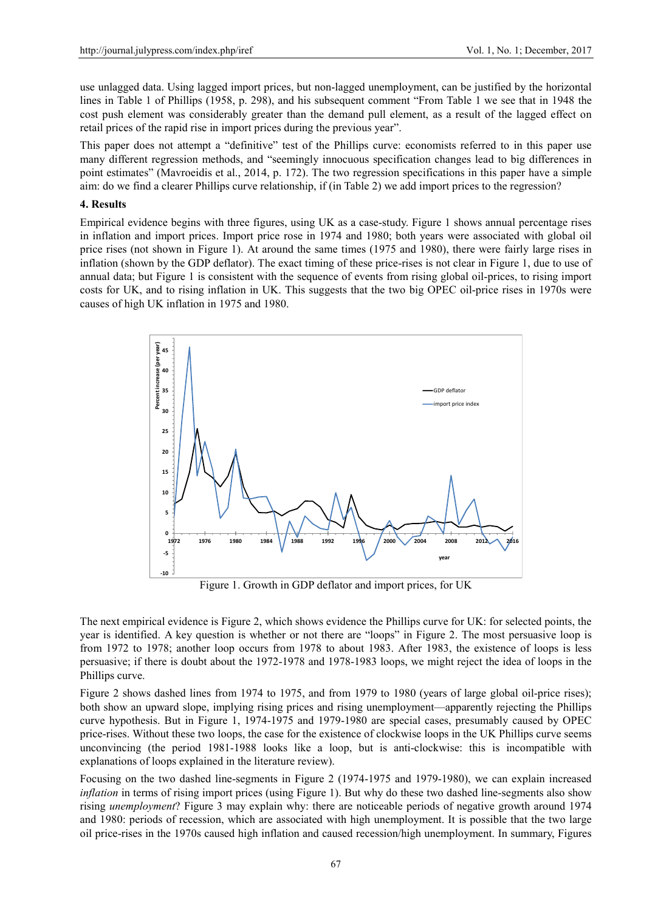use unlagged data. Using lagged import prices, but non-lagged unemployment, can be justified by the horizontal lines in Table 1 of Phillips (1958, p. 298), and his subsequent comment "From Table 1 we see that in 1948 the cost push element was considerably greater than the demand pull element, as a result of the lagged effect on retail prices of the rapid rise in import prices during the previous year".

This paper does not attempt a "definitive" test of the Phillips curve: economists referred to in this paper use many different regression methods, and "seemingly innocuous specification changes lead to big differences in point estimates" (Mavroeidis et al., 2014, p. 172). The two regression specifications in this paper have a simple aim: do we find a clearer Phillips curve relationship, if (in Table 2) we add import prices to the regression?

#### **4. Results**

Empirical evidence begins with three figures, using UK as a case-study. Figure 1 shows annual percentage rises in inflation and import prices. Import price rose in 1974 and 1980; both years were associated with global oil price rises (not shown in Figure 1). At around the same times (1975 and 1980), there were fairly large rises in inflation (shown by the GDP deflator). The exact timing of these price-rises is not clear in Figure 1, due to use of annual data; but Figure 1 is consistent with the sequence of events from rising global oil-prices, to rising import costs for UK, and to rising inflation in UK. This suggests that the two big OPEC oil-price rises in 1970s were causes of high UK inflation in 1975 and 1980.



Figure 1. Growth in GDP deflator and import prices, for UK

The next empirical evidence is Figure 2, which shows evidence the Phillips curve for UK: for selected points, the year is identified. A key question is whether or not there are "loops" in Figure 2. The most persuasive loop is from 1972 to 1978; another loop occurs from 1978 to about 1983. After 1983, the existence of loops is less persuasive; if there is doubt about the 1972-1978 and 1978-1983 loops, we might reject the idea of loops in the Phillips curve.

Figure 2 shows dashed lines from 1974 to 1975, and from 1979 to 1980 (years of large global oil-price rises); both show an upward slope, implying rising prices and rising unemployment—apparently rejecting the Phillips curve hypothesis. But in Figure 1, 1974-1975 and 1979-1980 are special cases, presumably caused by OPEC price-rises. Without these two loops, the case for the existence of clockwise loops in the UK Phillips curve seems unconvincing (the period 1981-1988 looks like a loop, but is anti-clockwise: this is incompatible with explanations of loops explained in the literature review).

Focusing on the two dashed line-segments in Figure 2 (1974-1975 and 1979-1980), we can explain increased *inflation* in terms of rising import prices (using Figure 1). But why do these two dashed line-segments also show rising *unemployment*? Figure 3 may explain why: there are noticeable periods of negative growth around 1974 and 1980: periods of recession, which are associated with high unemployment. It is possible that the two large oil price-rises in the 1970s caused high inflation and caused recession/high unemployment. In summary, Figures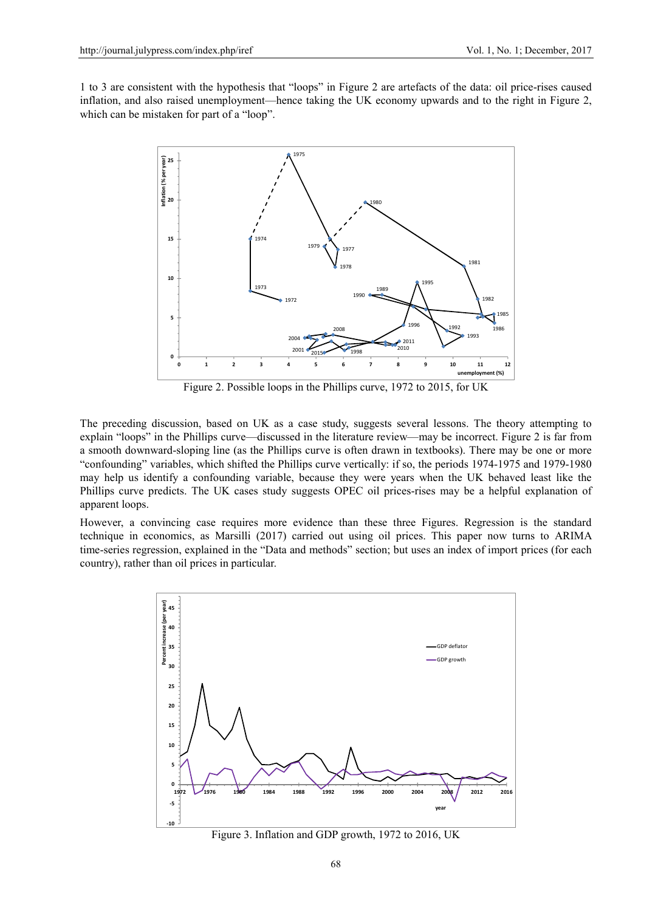1 to 3 are consistent with the hypothesis that "loops" in Figure 2 are artefacts of the data: oil price-rises caused inflation, and also raised unemployment—hence taking the UK economy upwards and to the right in Figure 2, which can be mistaken for part of a "loop".



Figure 2. Possible loops in the Phillips curve, 1972 to 2015, for UK

The preceding discussion, based on UK as a case study, suggests several lessons. The theory attempting to explain "loops" in the Phillips curve—discussed in the literature review—may be incorrect. Figure 2 is far from a smooth downward-sloping line (as the Phillips curve is often drawn in textbooks). There may be one or more "confounding" variables, which shifted the Phillips curve vertically: if so, the periods 1974-1975 and 1979-1980 may help us identify a confounding variable, because they were years when the UK behaved least like the Phillips curve predicts. The UK cases study suggests OPEC oil prices-rises may be a helpful explanation of apparent loops.

However, a convincing case requires more evidence than these three Figures. Regression is the standard technique in economics, as Marsilli (2017) carried out using oil prices. This paper now turns to ARIMA time-series regression, explained in the "Data and methods" section; but uses an index of import prices (for each country), rather than oil prices in particular.



Figure 3. Inflation and GDP growth, 1972 to 2016, UK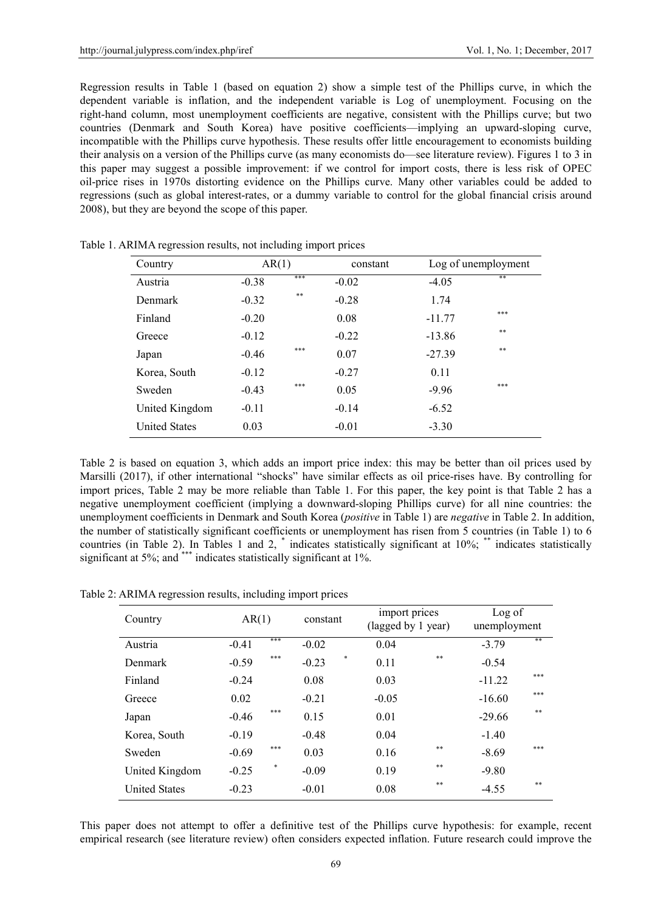Regression results in Table 1 (based on equation 2) show a simple test of the Phillips curve, in which the dependent variable is inflation, and the independent variable is Log of unemployment. Focusing on the right-hand column, most unemployment coefficients are negative, consistent with the Phillips curve; but two countries (Denmark and South Korea) have positive coefficients—implying an upward-sloping curve, incompatible with the Phillips curve hypothesis. These results offer little encouragement to economists building their analysis on a version of the Phillips curve (as many economists do—see literature review). Figures 1 to 3 in this paper may suggest a possible improvement: if we control for import costs, there is less risk of OPEC oil-price rises in 1970s distorting evidence on the Phillips curve. Many other variables could be added to regressions (such as global interest-rates, or a dummy variable to control for the global financial crisis around 2008), but they are beyond the scope of this paper.

| Country              | AR(1)   |     | constant | Log of unemployment |     |
|----------------------|---------|-----|----------|---------------------|-----|
| Austria              | $-0.38$ | *** | $-0.02$  | $-4.05$             | **  |
| <b>Denmark</b>       | $-0.32$ | **  | $-0.28$  | 1.74                |     |
| Finland              | $-0.20$ |     | 0.08     | $-11.77$            | *** |
| Greece               | $-0.12$ |     | $-0.22$  | $-13.86$            | **  |
| Japan                | $-0.46$ | *** | 0.07     | $-27.39$            | **  |
| Korea, South         | $-0.12$ |     | $-0.27$  | 0.11                |     |
| Sweden               | $-0.43$ | *** | 0.05     | $-9.96$             | *** |
| United Kingdom       | $-0.11$ |     | $-0.14$  | $-6.52$             |     |
| <b>United States</b> | 0.03    |     | $-0.01$  | $-3.30$             |     |

Table 1. ARIMA regression results, not including import prices

Table 2 is based on equation 3, which adds an import price index: this may be better than oil prices used by Marsilli (2017), if other international "shocks" have similar effects as oil price-rises have. By controlling for import prices, Table 2 may be more reliable than Table 1. For this paper, the key point is that Table 2 has a negative unemployment coefficient (implying a downward-sloping Phillips curve) for all nine countries: the unemployment coefficients in Denmark and South Korea (*positive* in Table 1) are *negative* in Table 2. In addition, the number of statistically significant coefficients or unemployment has risen from 5 countries (in Table 1) to 6 countries (in Table 2). In Tables 1 and 2, \* indicates statistically significant at 10%; \*\* indicates statistically significant at 5%; and \*\*\* indicates statistically significant at 1%.

Table 2: ARIMA regression results, including import prices

| Country              |         | AR(1)<br>constant |         | import prices<br>(lagged by 1 year) |         | Log of<br>unemployment |          |      |
|----------------------|---------|-------------------|---------|-------------------------------------|---------|------------------------|----------|------|
| Austria              | $-0.41$ | ***               | $-0.02$ |                                     | 0.04    |                        | $-3.79$  | **   |
| Denmark              | $-0.59$ | ***               | $-0.23$ | *                                   | 0.11    | **                     | $-0.54$  |      |
| Finland              | $-0.24$ |                   | 0.08    |                                     | 0.03    |                        | $-11.22$ | ***  |
| Greece               | 0.02    |                   | $-0.21$ |                                     | $-0.05$ |                        | $-16.60$ | ***  |
| Japan                | $-0.46$ | ***               | 0.15    |                                     | 0.01    |                        | $-29.66$ | $**$ |
| Korea, South         | $-0.19$ |                   | $-0.48$ |                                     | 0.04    |                        | $-1.40$  |      |
| Sweden               | $-0.69$ | ***               | 0.03    |                                     | 0.16    | **                     | $-8.69$  | ***  |
| United Kingdom       | $-0.25$ | *                 | $-0.09$ |                                     | 0.19    | **                     | $-9.80$  |      |
| <b>United States</b> | $-0.23$ |                   | $-0.01$ |                                     | 0.08    | **                     | $-4.55$  | **   |

This paper does not attempt to offer a definitive test of the Phillips curve hypothesis: for example, recent empirical research (see literature review) often considers expected inflation. Future research could improve the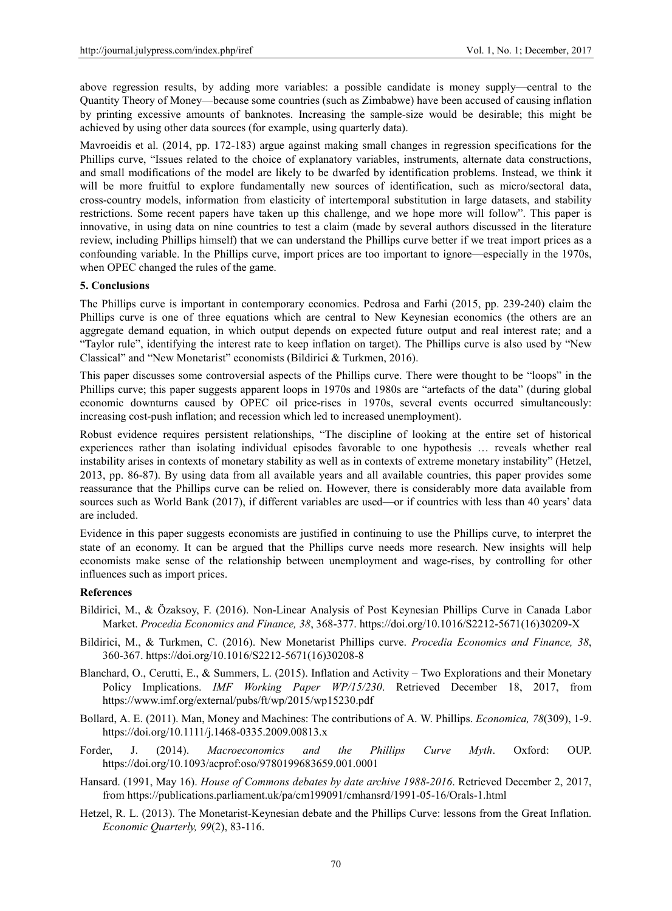above regression results, by adding more variables: a possible candidate is money supply—central to the Quantity Theory of Money—because some countries (such as Zimbabwe) have been accused of causing inflation by printing excessive amounts of banknotes. Increasing the sample-size would be desirable; this might be achieved by using other data sources (for example, using quarterly data).

Mavroeidis et al. (2014, pp. 172-183) argue against making small changes in regression specifications for the Phillips curve, "Issues related to the choice of explanatory variables, instruments, alternate data constructions, and small modifications of the model are likely to be dwarfed by identification problems. Instead, we think it will be more fruitful to explore fundamentally new sources of identification, such as micro/sectoral data, cross-country models, information from elasticity of intertemporal substitution in large datasets, and stability restrictions. Some recent papers have taken up this challenge, and we hope more will follow". This paper is innovative, in using data on nine countries to test a claim (made by several authors discussed in the literature review, including Phillips himself) that we can understand the Phillips curve better if we treat import prices as a confounding variable. In the Phillips curve, import prices are too important to ignore—especially in the 1970s, when OPEC changed the rules of the game.

#### **5. Conclusions**

The Phillips curve is important in contemporary economics. Pedrosa and Farhi (2015, pp. 239-240) claim the Phillips curve is one of three equations which are central to New Keynesian economics (the others are an aggregate demand equation, in which output depends on expected future output and real interest rate; and a "Taylor rule", identifying the interest rate to keep inflation on target). The Phillips curve is also used by "New Classical" and "New Monetarist" economists (Bildirici & Turkmen, 2016).

This paper discusses some controversial aspects of the Phillips curve. There were thought to be "loops" in the Phillips curve; this paper suggests apparent loops in 1970s and 1980s are "artefacts of the data" (during global economic downturns caused by OPEC oil price-rises in 1970s, several events occurred simultaneously: increasing cost-push inflation; and recession which led to increased unemployment).

Robust evidence requires persistent relationships, "The discipline of looking at the entire set of historical experiences rather than isolating individual episodes favorable to one hypothesis … reveals whether real instability arises in contexts of monetary stability as well as in contexts of extreme monetary instability" (Hetzel, 2013, pp. 86-87). By using data from all available years and all available countries, this paper provides some reassurance that the Phillips curve can be relied on. However, there is considerably more data available from sources such as World Bank (2017), if different variables are used—or if countries with less than 40 years' data are included.

Evidence in this paper suggests economists are justified in continuing to use the Phillips curve, to interpret the state of an economy. It can be argued that the Phillips curve needs more research. New insights will help economists make sense of the relationship between unemployment and wage-rises, by controlling for other influences such as import prices.

#### **References**

- Bildirici, M., & Özaksoy, F. (2016). Non-Linear Analysis of Post Keynesian Phillips Curve in Canada Labor Market. *Procedia Economics and Finance, 38*, 368-377. https://doi.org/10.1016/S2212-5671(16)30209-X
- Bildirici, M., & Turkmen, C. (2016). New Monetarist Phillips curve. *Procedia Economics and Finance, 38*, 360-367. https://doi.org/10.1016/S2212-5671(16)30208-8
- Blanchard, O., Cerutti, E., & Summers, L. (2015). Inflation and Activity Two Explorations and their Monetary Policy Implications. *IMF Working Paper WP/15/230*. Retrieved December 18, 2017, from https://www.imf.org/external/pubs/ft/wp/2015/wp15230.pdf
- Bollard, A. E. (2011). Man, Money and Machines: The contributions of A. W. Phillips. *Economica, 78*(309), 1-9. https://doi.org/10.1111/j.1468-0335.2009.00813.x
- Forder, J. (2014). *Macroeconomics and the Phillips Curve Myth*. Oxford: OUP. https://doi.org/10.1093/acprof:oso/9780199683659.001.0001
- Hansard. (1991, May 16). *House of Commons debates by date archive 1988-2016*. Retrieved December 2, 2017, from https://publications.parliament.uk/pa/cm199091/cmhansrd/1991-05-16/Orals-1.html
- Hetzel, R. L. (2013). The Monetarist-Keynesian debate and the Phillips Curve: lessons from the Great Inflation. *Economic Quarterly, 99*(2), 83-116.